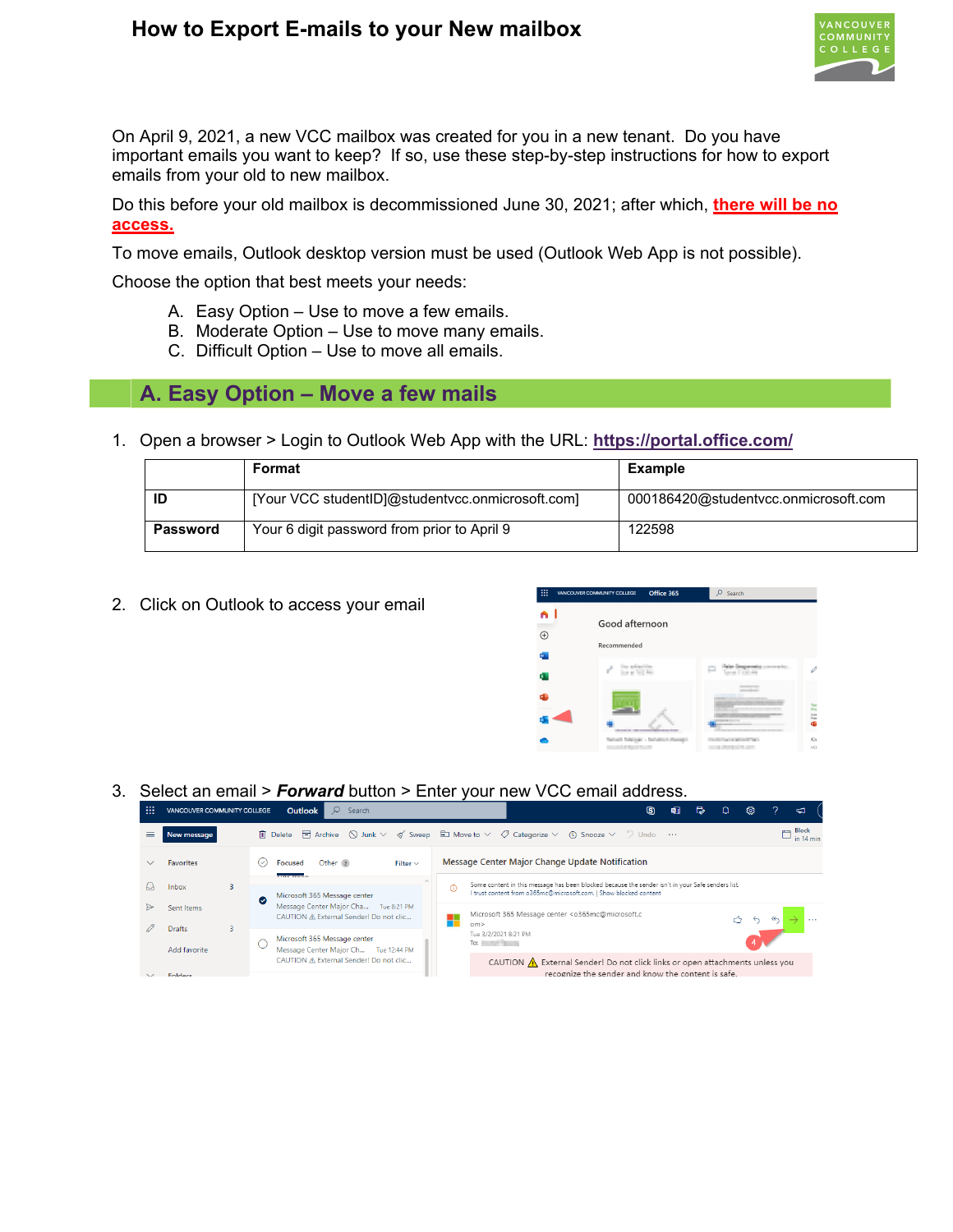## **How to Export E-mails to your New mailbox**



On April 9, 2021, a new VCC mailbox was created for you in a new tenant. Do you have important emails you want to keep? If so, use these step-by-step instructions for how to export emails from your old to new mailbox.

Do this before your old mailbox is decommissioned June 30, 2021; after which, **there will be no access.**

To move emails, Outlook desktop version must be used (Outlook Web App is not possible).

Choose the option that best meets your needs:

- A. Easy Option Use to move a few emails.
- B. Moderate Option Use to move many emails.
- C. Difficult Option Use to move all emails.

### **A. Easy Option – Move a few mails**

1. Open a browser > Login to Outlook Web App with the URL: **<https://portal.office.com/>**

|                 | Format                                           | <b>Example</b>                       |  |  |  |  |  |  |
|-----------------|--------------------------------------------------|--------------------------------------|--|--|--|--|--|--|
|                 | [Your VCC studentID]@studentvcc.onmicrosoft.com] | 000186420@studentycc.onmicrosoft.com |  |  |  |  |  |  |
| <b>Password</b> | Your 6 digit password from prior to April 9      | 122598                               |  |  |  |  |  |  |

2. Click on Outlook to access your email



### 3. Select an email > *Forward* button > Enter your new VCC email address.

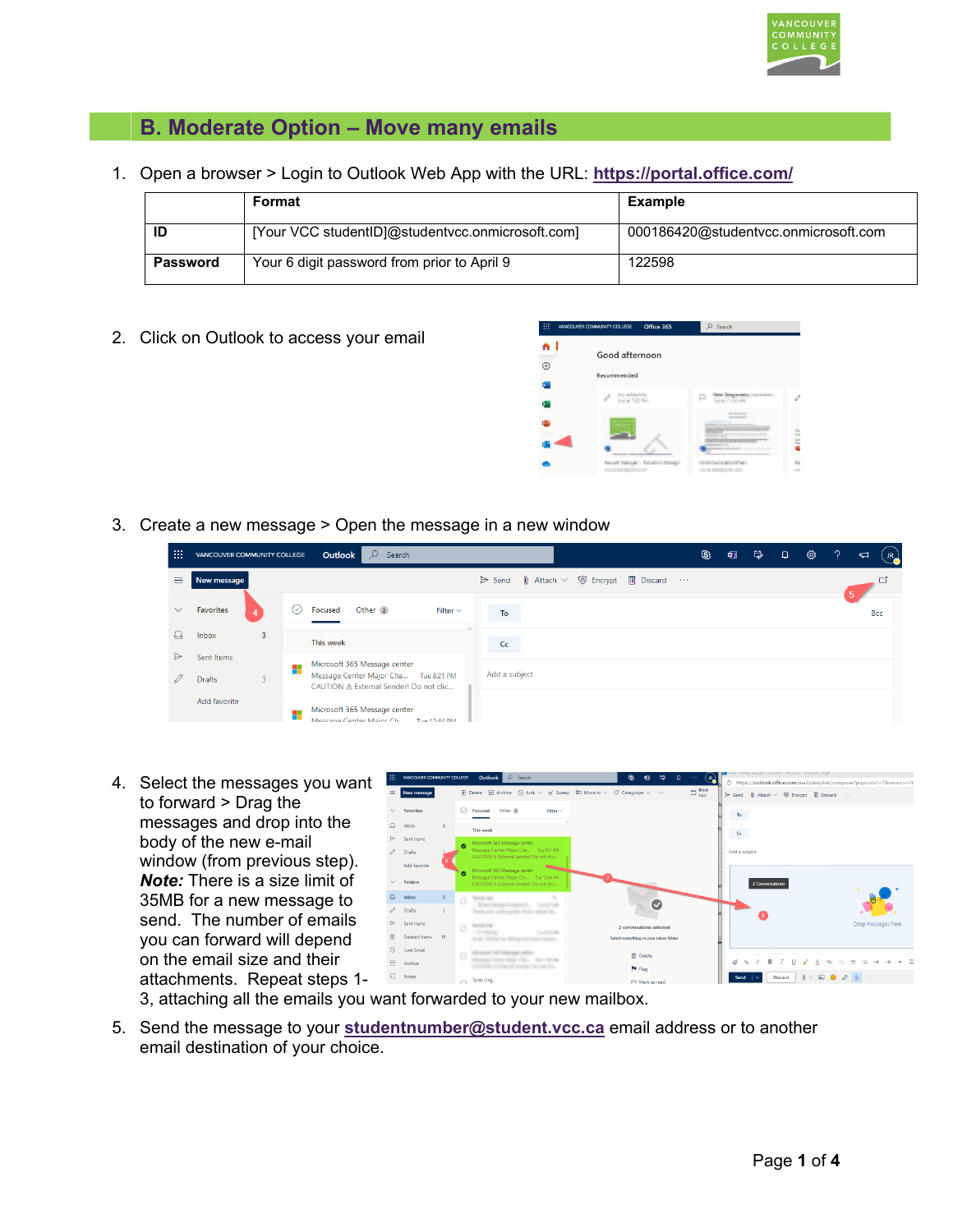

# **B. Moderate Option – Move many emails**

1. Open a browser > Login to Outlook Web App with the URL: **<https://portal.office.com/>**

|          | Format                                           | Example                              |  |  |  |  |  |
|----------|--------------------------------------------------|--------------------------------------|--|--|--|--|--|
| ID       | [Your VCC studentID]@studentycc.onmicrosoft.com] | 000186420@studentycc.onmicrosoft.com |  |  |  |  |  |
| Password | Your 6 digit password from prior to April 9      | 122598                               |  |  |  |  |  |

2. Click on Outlook to access your email



3. Create a new message > Open the message in a new window

| m        | VANCOUVER COMMUNITY COLLEGE |   |     | Outlook<br>$\mathcal{Q}$<br>Search                                             |                       |                           |                                                 | $\circledS$ | 帼 | $\mathbb{R}$ | <b>Q</b> | భ | -2 | $IR_{\bullet}$<br>$\triangleleft$ |
|----------|-----------------------------|---|-----|--------------------------------------------------------------------------------|-----------------------|---------------------------|-------------------------------------------------|-------------|---|--------------|----------|---|----|-----------------------------------|
| $\equiv$ | New message                 |   |     |                                                                                | $\triangleright$ Send | $\parallel$ Attach $\vee$ | <sup> <b>D</b> Encrypt <b>自</b> Discard …</sup> |             |   |              |          |   |    |                                   |
| $\vee$   | Favorites                   |   | (✓) | Other <sub>2</sub><br><b>Focused</b><br>Filter $\vee$                          | To                    |                           |                                                 |             |   |              |          |   |    | Bcc                               |
| д        | Inbox                       | 3 |     | This week                                                                      | Cc                    |                           |                                                 |             |   |              |          |   |    |                                   |
| ⊳        | Sent Items                  |   |     | Microsoft 365 Message center                                                   |                       |                           |                                                 |             |   |              |          |   |    |                                   |
| Í        | <b>Drafts</b>               | 3 |     | Message Center Major Cha Tue 8:21 PM<br>CAUTION A External Sender! Do not clic | Add a subject         |                           |                                                 |             |   |              |          |   |    |                                   |
|          | Add favorite                |   |     | Microsoft 365 Message center<br>Massana Center Mainr Ch<br>Tue 12-44 PM        |                       |                           |                                                 |             |   |              |          |   |    |                                   |

4. Select the messages you want to forward > Drag the messages and drop into the body of the new e-mail window (from previous step). *Note:* There is a size limit of 35MB for a new message to send. The number of emails you can forward will depend on the email size and their attachments. Repeat steps 1-



- 3, attaching all the emails you want forwarded to your new mailbox.
- 5. Send the message to your **[studentnumber@student.vcc.ca](https://portal.office.com/)** email address or to another email destination of your choice.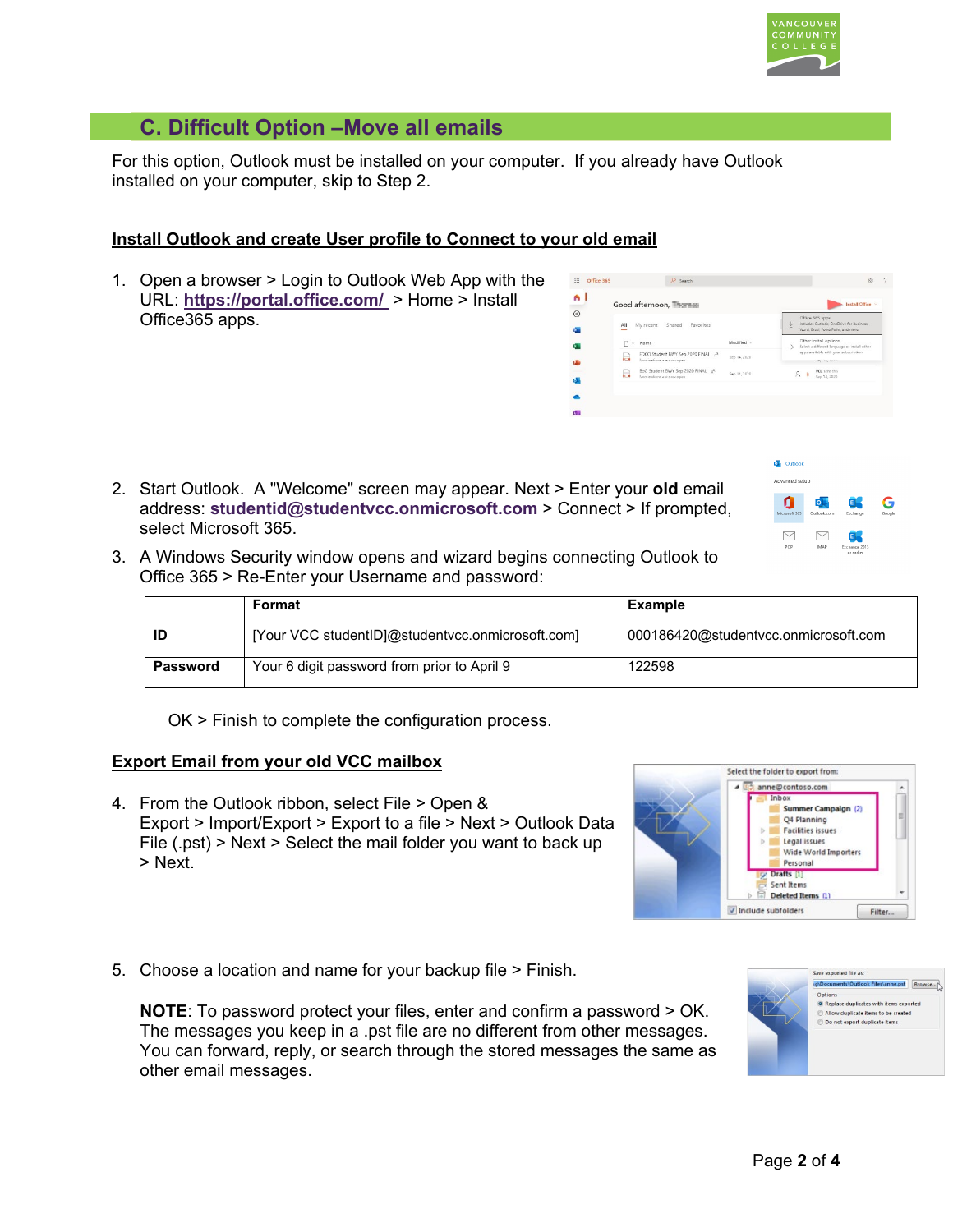# **C. Difficult Option –Move all emails**

For this option, Outlook must be installed on your computer. If you already have Outlook installed on your computer, skip to Step 2.

## **Install Outlook and create User profile to Connect to your old email**

1. Open a browser > Login to Outlook Web App with the URL: **<https://portal.office.com/>**> Home > Install Office365 apps.



2. Start Outlook. A "Welcome" screen may appear. Next > Enter your **old** email address: **[studentid@studentvcc.onmicrosoft.com](mailto:studentid@studentvcc.onmicrosoft.com)** > Connect > If prompted, select Microsoft 365.



3. A Windows Security window opens and wizard begins connecting Outlook to Office 365 > Re-Enter your Username and password:

|                 | Format                                           | Example                              |
|-----------------|--------------------------------------------------|--------------------------------------|
| ID              | [Your VCC studentID]@studentycc.onmicrosoft.com] | 000186420@studentvcc.onmicrosoft.com |
| <b>Password</b> | Your 6 digit password from prior to April 9      | 122598                               |

OK > Finish to complete the configuration process.

### **Export Email from your old VCC mailbox**

4. From the Outlook ribbon, select File > Open & Export > Import/Export > Export to a file > Next > Outlook Data File (.pst) > Next > Select the mail folder you want to back up > Next.



5. Choose a location and name for your backup file > Finish.

**NOTE**: To password protect your files, enter and confirm a password > OK. The messages you keep in a .pst file are no different from other messages. You can forward, reply, or search through the stored messages the same as other email messages.